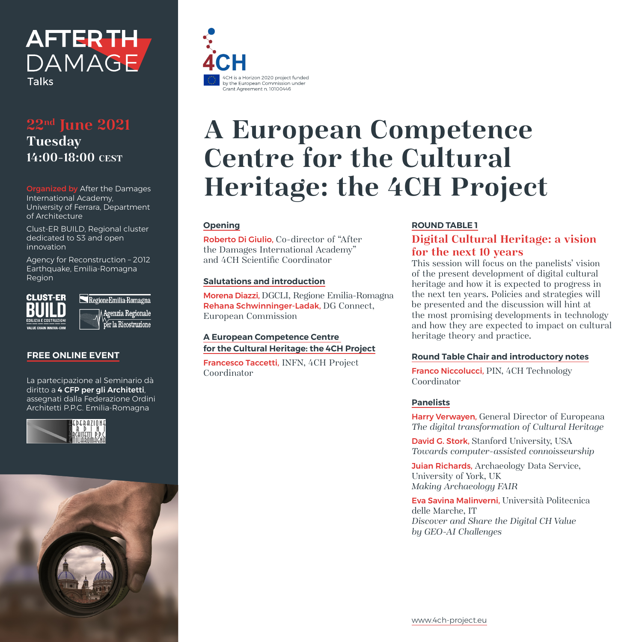

## **22nd June 2021 Tuesday 14:00-18:00 CEST**

Organized by After the Damages International Academy, University of Ferrara, Department of Architecture

Clust-ER BUILD, Regional cluster dedicated to S3 and open innovation

Agency for Reconstruction – 2012 Earthquake, Emilia-Romagna Region



Regione Emilia-Romagna Agenzia Regionale  $\overline{\operatorname{per}}$  la Ricostruzione

#### **FREE ONLINE EVENT**

La partecipazione al Seminario dà diritto a 4 CFP per gli Architetti, assegnati dalla Federazione Ordini Architetti P.P.C. Emilia-Romagna







# **A European Competence Centre for the Cultural Heritage: the 4CH Project**

#### **Opening**

Roberto Di Giulio, Co-director of "After the Damages International Academy" and 4CH Scientific Coordinator

#### **Salutations and introduction**

Morena Diazzi, DGCLI, Regione Emilia-Romagna Rehana Schwinninger-Ladak, DG Connect, European Commission

#### **A European Competence Centre for the Cultural Heritage: the 4CH Project**

Francesco Taccetti, INFN, 4CH Project Coordinator

#### **ROUND TABLE 1**

### **Digital Cultural Heritage: a vision for the next 10 years**

This session will focus on the panelists' vision of the present development of digital cultural heritage and how it is expected to progress in the next ten years. Policies and strategies will be presented and the discussion will hint at the most promising developments in technology and how they are expected to impact on cultural heritage theory and practice.

#### **Round Table Chair and introductory notes**

Franco Niccolucci, PIN, 4CH Technology Coordinator

#### **Panelists**

Harry Verwayen, General Director of Europeana *The digital transformation of Cultural Heritage*

David G. Stork, Stanford University, USA *Towards computer-assisted connoisseurship*

**Juian Richards, Archaeology Data Service,** University of York, UK *Making Archaeology FAIR*

Eva Savina Malinverni, Università Politecnica delle Marche, IT *Discover and Share the Digital CH Value by GEO-AI Challenges*

www.4ch-project.eu